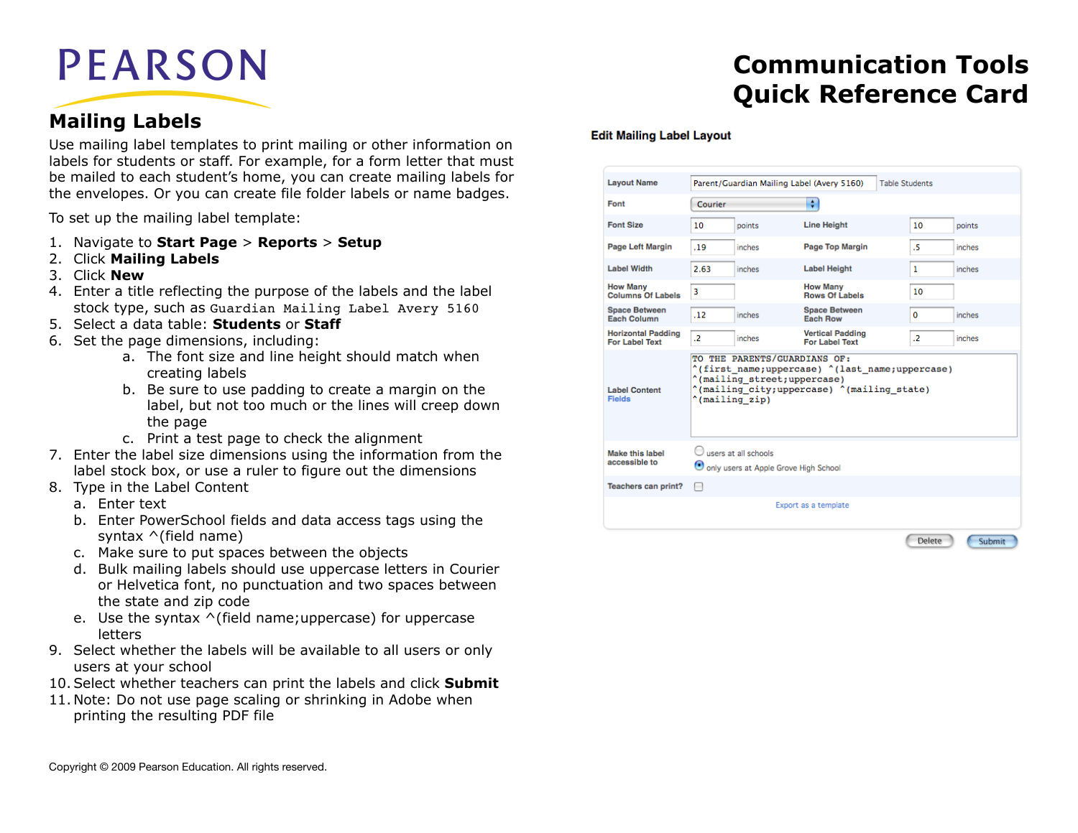# **PEARSON**

### **Mailing Labels**

Use mailing label templates to print mailing or other information on labels for students or staff. For example, for a form letter that must be mailed to each student's home, you can create mailing labels for the envelopes. Or you can create file folder labels or name badges.

To set up the mailing label template:

- 1. Navigate to **Start Page** > **Reports** > **Setup**
- 2. Click **Mailing Labels**
- 3. Click **New**
- 4. Enter a title reflecting the purpose of the labels and the label stock type, such as Guardian Mailing Label Avery 5160
- 5. Select a data table: **Students** or **Staff**
- 6. Set the page dimensions, including:
	- a. The font size and line height should match when creating labels
	- b. Be sure to use padding to create a margin on the label, but not too much or the lines will creep down the page
	- c. Print a test page to check the alignment
- 7. Enter the label size dimensions using the information from the label stock box, or use a ruler to figure out the dimensions
- 8. Type in the Label Content
	- a. Enter text
	- b. Enter PowerSchool fields and data access tags using the syntax ^(field name)
	- c. Make sure to put spaces between the objects
	- d. Bulk mailing labels should use uppercase letters in Courier or Helvetica font, no punctuation and two spaces between the state and zip code
	- e. Use the syntax ^(field name;uppercase) for uppercase letters
- 9. Select whether the labels will be available to all users or only users at your school
- 10.Select whether teachers can print the labels and click **Submit**
- 11. Note: Do not use page scaling or shrinking in Adobe when printing the resulting PDF file

# **Communication Tools Quick Reference Card**

#### **Edit Mailing Label Layout**

| <b>Layout Name</b>                                 |                                                                                                                                                                                 |                                                                 | Parent/Guardian Mailing Label (Avery 5160)       | <b>Table Students</b> |
|----------------------------------------------------|---------------------------------------------------------------------------------------------------------------------------------------------------------------------------------|-----------------------------------------------------------------|--------------------------------------------------|-----------------------|
| Font                                               | Courier                                                                                                                                                                         |                                                                 | ÷                                                |                       |
| <b>Font Size</b>                                   | 10                                                                                                                                                                              | points                                                          | <b>Line Height</b>                               | 10<br>points          |
| <b>Page Left Margin</b>                            | .19                                                                                                                                                                             | inches                                                          | Page Top Margin                                  | .5<br>inches          |
| <b>Label Width</b>                                 | 2.63                                                                                                                                                                            | inches                                                          | <b>Label Height</b>                              | 1<br>inches           |
| <b>How Many</b><br><b>Columns Of Labels</b>        | з                                                                                                                                                                               |                                                                 | <b>How Many</b><br><b>Rows Of Labels</b>         | 10                    |
| <b>Space Between</b><br>Each Column                | .12                                                                                                                                                                             | inches                                                          | <b>Space Between</b><br>Each Row                 | o<br>inches           |
| <b>Horizontal Padding</b><br><b>For Label Text</b> | $\overline{2}$                                                                                                                                                                  | inches                                                          | <b>Vertical Padding</b><br><b>For Label Text</b> | $\cdot$ .<br>inches   |
| <b>Label Content</b><br><b>Fields</b>              | TO THE PARENTS/GUARDIANS OF:<br>"(first name;uppercase) "(last name;uppercase)<br>"(mailing street; uppercase)<br>"(mailing city; uppercase) "(mailing state)<br>"(mailing zip) |                                                                 |                                                  |                       |
| Make this label<br>accessible to                   |                                                                                                                                                                                 | users at all schools<br>O only users at Apple Grove High School |                                                  |                       |
| <b>Teachers can print?</b>                         | н                                                                                                                                                                               |                                                                 |                                                  |                       |
|                                                    |                                                                                                                                                                                 |                                                                 | Export as a template                             |                       |
|                                                    |                                                                                                                                                                                 |                                                                 |                                                  | Delete<br>Submit      |

Copyright © 2009 Pearson Education. All rights reserved.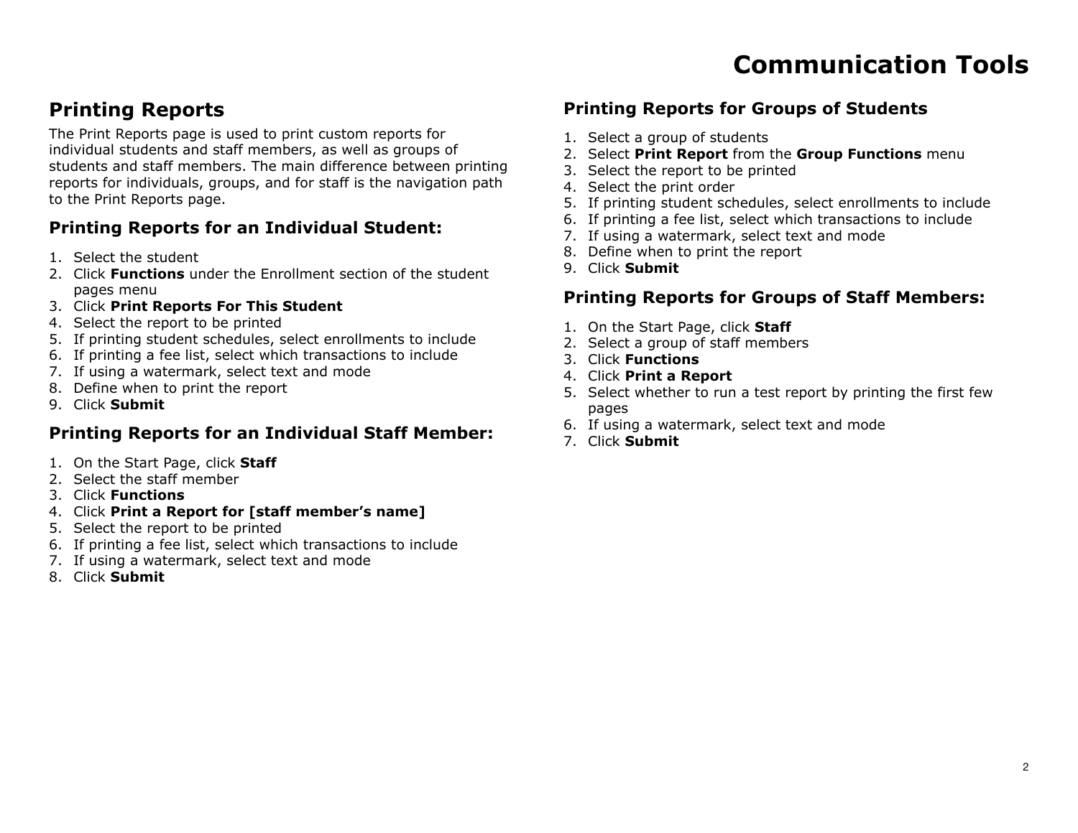### **Printing Reports**

The Print Reports page is used to print custom reports for individual students and staff members, as well as groups of students and staff members. The main difference between printing reports for individuals, groups, and for staff is the navigation path to the Print Reports page.

### **Printing Reports for an Individual Student:**

- 1. Select the student
- 2. Click **Functions** under the Enrollment section of the student pages menu
- 3. Click **Print Reports For This Student**
- 4. Select the report to be printed
- 5. If printing student schedules, select enrollments to include
- 6. If printing a fee list, select which transactions to include
- 7. If using a watermark, select text and mode
- 8. Define when to print the report
- 9. Click **Submit**

### **Printing Reports for an Individual Staff Member:**

- 1. On the Start Page, click **Staff**
- 2. Select the staff member
- 3. Click **Functions**
- 4. Click **Print a Report for [staff member's name]**
- 5. Select the report to be printed
- 6. If printing a fee list, select which transactions to include
- 7. If using a watermark, select text and mode
- 8. Click **Submit**

### **Printing Reports for Groups of Students**

- 1. Select a group of students
- 2. Select **Print Report** from the **Group Functions** menu
- 3. Select the report to be printed
- 4. Select the print order
- 5. If printing student schedules, select enrollments to include
- 6. If printing a fee list, select which transactions to include
- 7. If using a watermark, select text and mode
- 8. Define when to print the report
- 9. Click **Submit**

### **Printing Reports for Groups of Staff Members:**

- 1. On the Start Page, click **Staff**
- 2. Select a group of staff members
- 3. Click **Functions**
- 4. Click **Print a Report**
- 5. Select whether to run a test report by printing the first few pages
- 6. If using a watermark, select text and mode
- 7. Click **Submit**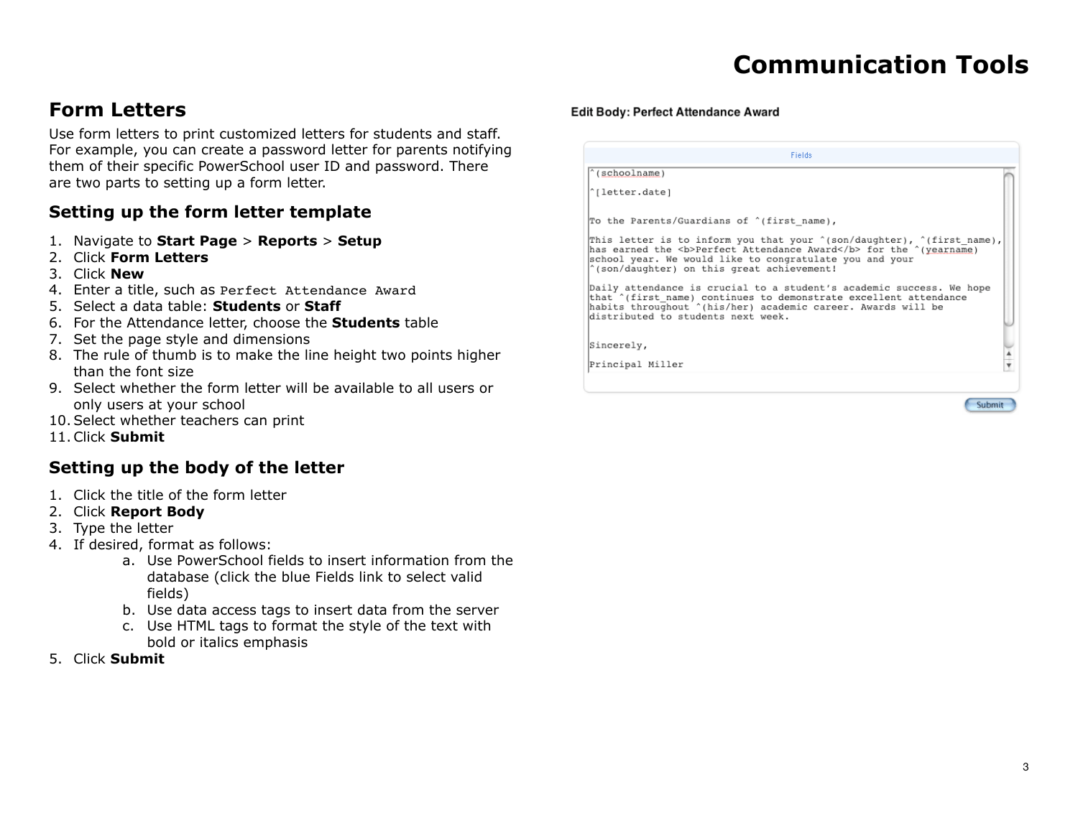### **Form Letters**

Use form letters to print customized letters for students and staff. For example, you can create a password letter for parents notifying them of their specific PowerSchool user ID and password. There are two parts to setting up a form letter.

### **Setting up the form letter template**

- 1. Navigate to **Start Page** > **Reports** > **Setup**
- 2. Click **Form Letters**
- 3. Click **New**
- 4. Enter a title, such as Perfect Attendance Award
- 5. Select a data table: **Students** or **Staff**
- 6. For the Attendance letter, choose the **Students** table
- 7. Set the page style and dimensions
- 8. The rule of thumb is to make the line height two points higher than the font size
- 9. Select whether the form letter will be available to all users or only users at your school
- 10.Select whether teachers can print
- 11.Click **Submit**

#### **Setting up the body of the letter**

- 1. Click the title of the form letter
- 2. Click **Report Body**
- 3. Type the letter
- 4. If desired, format as follows:
	- a. Use PowerSchool fields to insert information from the database (click the blue Fields link to select valid fields)
	- b. Use data access tags to insert data from the server
	- c. Use HTML tags to format the style of the text with bold or italics emphasis
- 5. Click **Submit**

#### Edit Body: Perfect Attendance Award

| <b>Fields</b>                                                                                                                                                                                                                                         |  |
|-------------------------------------------------------------------------------------------------------------------------------------------------------------------------------------------------------------------------------------------------------|--|
| $^{\wedge}$ (schoolname)                                                                                                                                                                                                                              |  |
| ^[letter.date]                                                                                                                                                                                                                                        |  |
| To the Parents/Guardians of ^(first name),                                                                                                                                                                                                            |  |
| This letter is to inform you that your "(son/daughter), "(first name),<br>has earned the <b>Perfect Attendance Award</b> for the ^(yearname)<br>school year. We would like to congratulate you and your<br>'(son/daughter) on this great achievement! |  |
| Daily attendance is crucial to a student's academic success. We hope<br>that ^(first name) continues to demonstrate excellent attendance<br>habits throughout ^(his/her) academic career. Awards will be<br>distributed to students next week.        |  |
| Sincerely,                                                                                                                                                                                                                                            |  |
| Principal Miller                                                                                                                                                                                                                                      |  |
|                                                                                                                                                                                                                                                       |  |

Submit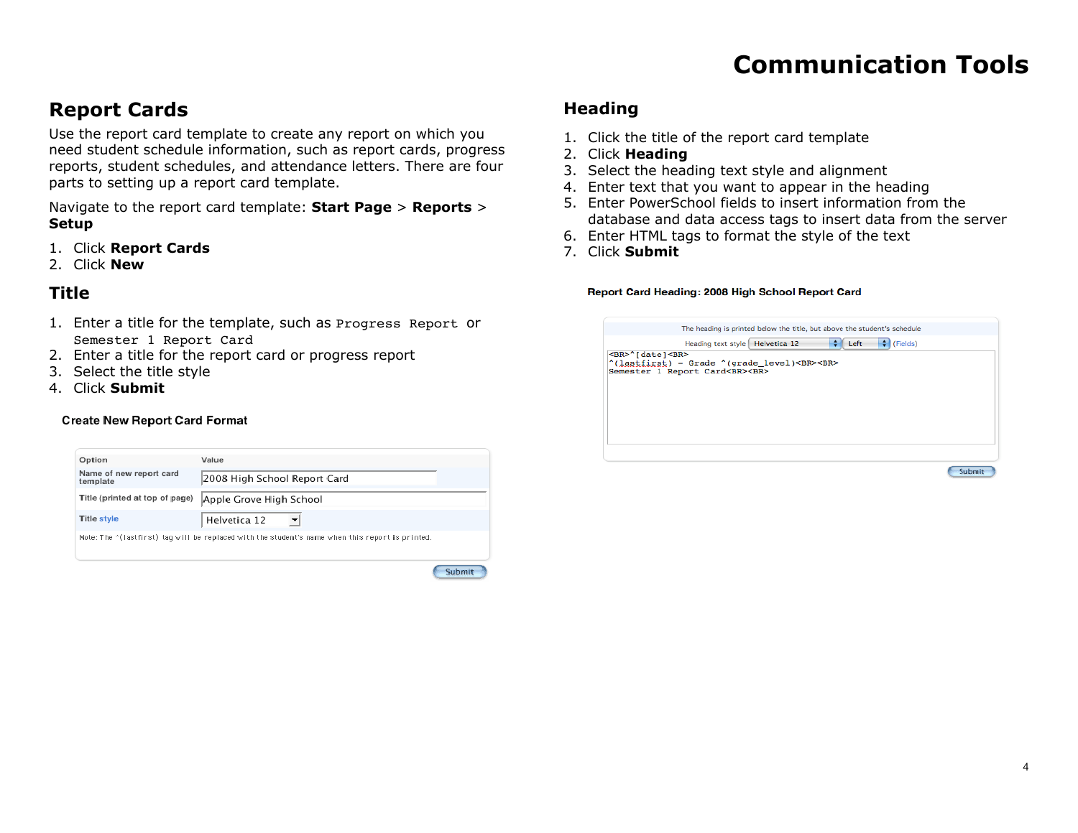### **Report Cards**

Use the report card template to create any report on which you need student schedule information, such as report cards, progress reports, student schedules, and attendance letters. There are four parts to setting up a report card template.

Navigate to the report card template: **Start Page** > **Reports** > **Setup**

- 1. Click **Report Cards**
- 2. Click **New**

### **Title**

- 1. Enter a title for the template, such as Progress Report or Semester 1 Report Card
- 2. Enter a title for the report card or progress report
- 3. Select the title style
- 4. Click **Submit**

#### **Create New Report Card Format**

| Option                              | Value                                                                                                    |  |
|-------------------------------------|----------------------------------------------------------------------------------------------------------|--|
| Name of new report card<br>template | 2008 High School Report Card                                                                             |  |
| Title (printed at top of page)      | Apple Grove High School                                                                                  |  |
| <b>Title style</b>                  | Helvetica 12                                                                                             |  |
|                                     | Note: The $\gamma$ (lastfirst) tag will be replaced with the student's name when this report is printed. |  |

Submit

#### **Heading**

- 1. Click the title of the report card template
- 2. Click **Heading**
- 3. Select the heading text style and alignment
- 4. Enter text that you want to appear in the heading
- 5. Enter PowerSchool fields to insert information from the database and data access tags to insert data from the server
- 6. Enter HTML tags to format the style of the text
- 7. Click **Submit**

#### Report Card Heading: 2008 High School Report Card

|                                |                                             |             | The heading is printed below the title, but above the student's schedule |      |
|--------------------------------|---------------------------------------------|-------------|--------------------------------------------------------------------------|------|
|                                | Heading text style Helvetica 12             | $\div$ Left | ٠<br>(Fields)                                                            |      |
| <br>^[date]<br>                |                                             |             |                                                                          |      |
|                                | ^(lastfirst) - Grade ^(grade level)<br><br> |             |                                                                          |      |
| Semester 1 Report Card<br><br> |                                             |             |                                                                          |      |
|                                |                                             |             |                                                                          |      |
|                                |                                             |             |                                                                          |      |
|                                |                                             |             |                                                                          |      |
|                                |                                             |             |                                                                          |      |
|                                |                                             |             |                                                                          |      |
|                                |                                             |             |                                                                          |      |
|                                |                                             |             |                                                                          |      |
|                                |                                             |             |                                                                          |      |
|                                |                                             |             |                                                                          |      |
|                                |                                             |             |                                                                          |      |
|                                |                                             |             |                                                                          | Subm |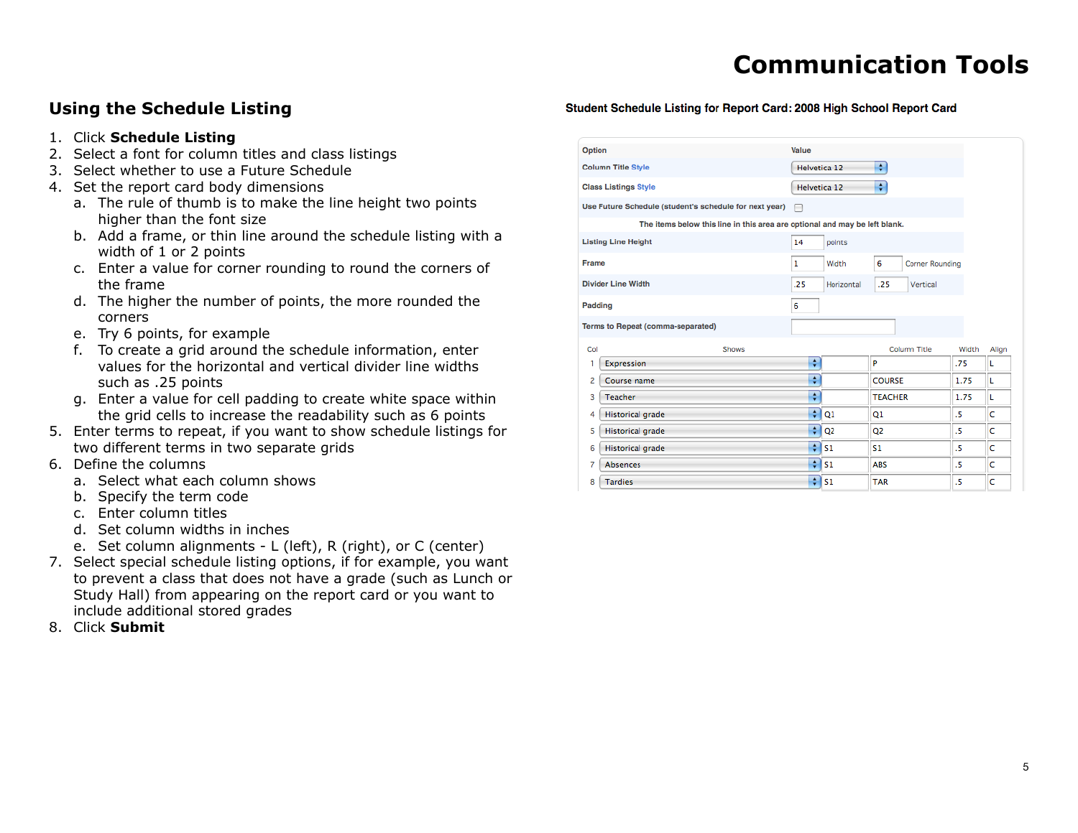### **Using the Schedule Listing**

- 1. Click **Schedule Listing**
- 2. Select a font for column titles and class listings
- 3. Select whether to use a Future Schedule
- 4. Set the report card body dimensions
	- a. The rule of thumb is to make the line height two points higher than the font size
	- b. Add a frame, or thin line around the schedule listing with a width of 1 or 2 points
	- c. Enter a value for corner rounding to round the corners of the frame
	- d. The higher the number of points, the more rounded the corners
	- e. Try 6 points, for example
	- f. To create a grid around the schedule information, enter values for the horizontal and vertical divider line widths such as .25 points
	- g. Enter a value for cell padding to create white space within the grid cells to increase the readability such as 6 points
- 5. Enter terms to repeat, if you want to show schedule listings for two different terms in two separate grids
- 6. Define the columns
	- a. Select what each column shows
	- b. Specify the term code
	- c. Enter column titles
	- d. Set column widths in inches
	- e. Set column alignments L (left), R (right), or C (center)
- 7. Select special schedule listing options, if for example, you want to prevent a class that does not have a grade (such as Lunch or Study Hall) from appearing on the report card or you want to include additional stored grades
- 8. Click **Submit**

| Option                    |                                                                            | Value        |                |                             |       |       |
|---------------------------|----------------------------------------------------------------------------|--------------|----------------|-----------------------------|-------|-------|
| <b>Column Title Style</b> |                                                                            | Helvetica 12 |                | ÷                           |       |       |
|                           | <b>Class Listings Style</b>                                                | Helvetica 12 |                | ÷                           |       |       |
|                           | Use Future Schedule (student's schedule for next year)                     | ╒            |                |                             |       |       |
|                           | The items below this line in this area are optional and may be left blank. |              |                |                             |       |       |
|                           | <b>Listing Line Height</b>                                                 | 14           | points         |                             |       |       |
| <b>Frame</b>              |                                                                            | 1            | Width          | 6<br><b>Corner Rounding</b> |       |       |
|                           | <b>Divider Line Width</b>                                                  | .25          | Horizontal     | .25<br>Vertical             |       |       |
|                           | Padding                                                                    | 6            |                |                             |       |       |
|                           |                                                                            |              |                |                             |       |       |
|                           | Terms to Repeat (comma-separated)                                          |              |                |                             |       |       |
| Col                       | Shows                                                                      |              |                | <b>Column Title</b>         | Width | Align |
| 1                         | Expression                                                                 | ÷            |                | P                           | .75   | L     |
| 2                         | Course name                                                                | ÷            |                | <b>COURSE</b>               | 1.75  | L     |
| 3                         | <b>Teacher</b>                                                             | ÷            |                | <b>TEACHER</b>              | 1.75  | г     |
| 4                         | <b>Historical grade</b>                                                    | ÷            | Q1             | Q1                          | .5    | c     |
| 5                         | <b>Historical grade</b>                                                    | ÷            | Q <sub>2</sub> | Q <sub>2</sub>              | .5    | c     |
| 6                         | <b>Historical grade</b>                                                    | ÷            | 51             | \$1                         | .5    | c     |
| 7                         | <b>Absences</b>                                                            | ÷            | S1             | <b>ABS</b>                  | .5    | c     |

Student Schedule Listing for Report Card: 2008 High School Report Card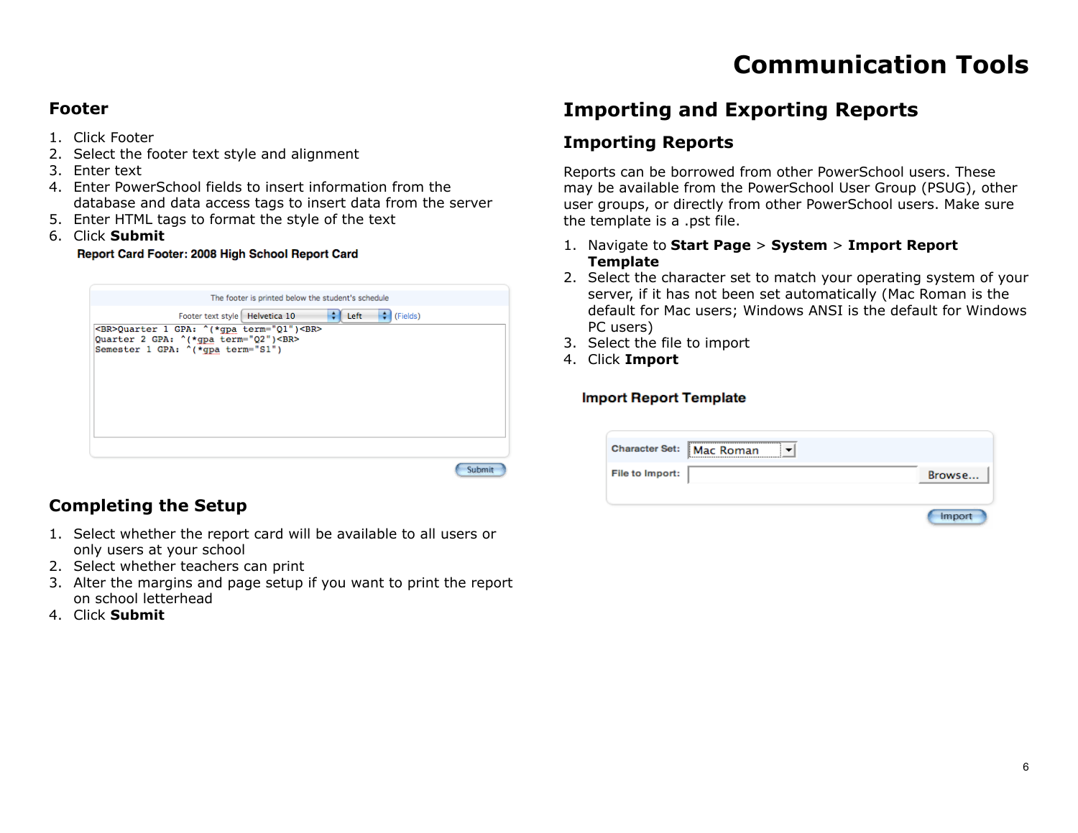#### **Footer**

- 1. Click Footer
- 2. Select the footer text style and alignment
- 3. Enter text
- 4. Enter PowerSchool fields to insert information from the database and data access tags to insert data from the server
- 5. Enter HTML tags to format the style of the text
- 6. Click **Submit**

Report Card Footer: 2008 High School Report Card

| The footer is printed below the student's schedule                                                                    |
|-----------------------------------------------------------------------------------------------------------------------|
| (Fields)<br>٥<br>$\div$ Left<br>Footer text style Helvetica 10                                                        |
| <br>Quarter 1 GPA: ^(*gpa term="Q1")<br><br>Quarter 2 GPA: ^(*gpa term="Q2")<br><br>Semester 1 GPA: ^(*gpa term="S1") |
|                                                                                                                       |
| Subm                                                                                                                  |

### **Completing the Setup**

- 1. Select whether the report card will be available to all users or only users at your school
- 2. Select whether teachers can print
- 3. Alter the margins and page setup if you want to print the report on school letterhead
- 4. Click **Submit**

### **Importing and Exporting Reports**

### **Importing Reports**

Reports can be borrowed from other PowerSchool users. These may be available from the PowerSchool User Group (PSUG), other user groups, or directly from other PowerSchool users. Make sure the template is a .pst file.

- 1. Navigate to **Start Page** > **System** > **Import Report Template**
- 2. Select the character set to match your operating system of your server, if it has not been set automatically (Mac Roman is the default for Mac users; Windows ANSI is the default for Windows PC users)
- 3. Select the file to import
- 4. Click **Import**

#### **Import Report Template**

|                 | Character Set: Mac Roman |        |
|-----------------|--------------------------|--------|
| File to Import: |                          | Browse |
|                 |                          |        |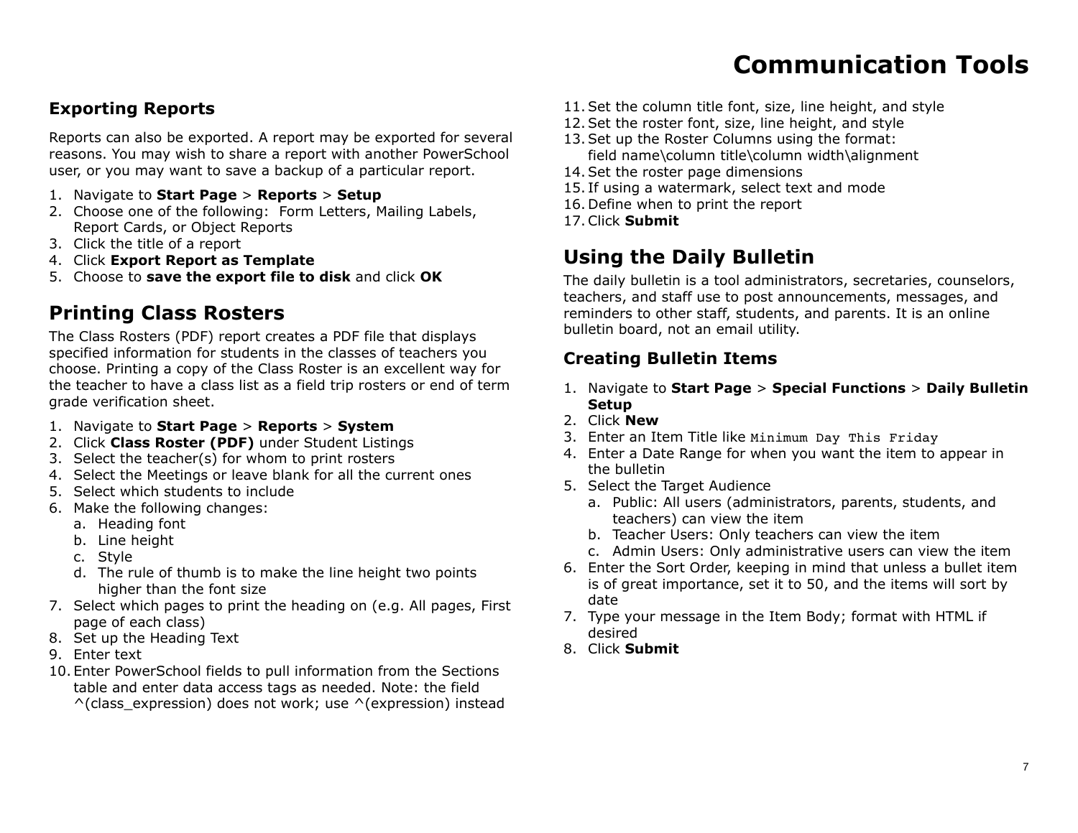### **Exporting Reports**

Reports can also be exported. A report may be exported for several reasons. You may wish to share a report with another PowerSchool user, or you may want to save a backup of a particular report.

- 1. Navigate to **Start Page** > **Reports** > **Setup**
- 2. Choose one of the following: Form Letters, Mailing Labels, Report Cards, or Object Reports
- 3. Click the title of a report
- 4. Click **Export Report as Template**
- 5. Choose to **save the export file to disk** and click **OK**

### **Printing Class Rosters**

The Class Rosters (PDF) report creates a PDF file that displays specified information for students in the classes of teachers you choose. Printing a copy of the Class Roster is an excellent way for the teacher to have a class list as a field trip rosters or end of term grade verification sheet.

- 1. Navigate to **Start Page** > **Reports** > **System**
- 2. Click **Class Roster (PDF)** under Student Listings
- 3. Select the teacher(s) for whom to print rosters
- 4. Select the Meetings or leave blank for all the current ones
- 5. Select which students to include
- 6. Make the following changes:
	- a. Heading font
	- b. Line height
	- c. Style
	- d. The rule of thumb is to make the line height two points higher than the font size
- 7. Select which pages to print the heading on (e.g. All pages, First page of each class)
- 8. Set up the Heading Text
- 9. Enter text
- 10. Enter PowerSchool fields to pull information from the Sections table and enter data access tags as needed. Note: the field  $\wedge$ (class\_expression) does not work; use  $\wedge$ (expression) instead
- 11.Set the column title font, size, line height, and style
- 12.Set the roster font, size, line height, and style
- 13.Set up the Roster Columns using the format: field name\column title\column width\alignment
- 14.Set the roster page dimensions
- 15. If using a watermark, select text and mode
- 16. Define when to print the report
- 17.Click **Submit**

### **Using the Daily Bulletin**

The daily bulletin is a tool administrators, secretaries, counselors, teachers, and staff use to post announcements, messages, and reminders to other staff, students, and parents. It is an online bulletin board, not an email utility.

### **Creating Bulletin Items**

- 1. Navigate to **Start Page** > **Special Functions** > **Daily Bulletin Setup**
- 2. Click **New**
- 3. Enter an Item Title like Minimum Day This Friday
- 4. Enter a Date Range for when you want the item to appear in the bulletin
- 5. Select the Target Audience
	- a. Public: All users (administrators, parents, students, and teachers) can view the item
	- b. Teacher Users: Only teachers can view the item
	- c. Admin Users: Only administrative users can view the item
- 6. Enter the Sort Order, keeping in mind that unless a bullet item is of great importance, set it to 50, and the items will sort by date
- 7. Type your message in the Item Body; format with HTML if desired
- 8. Click **Submit**